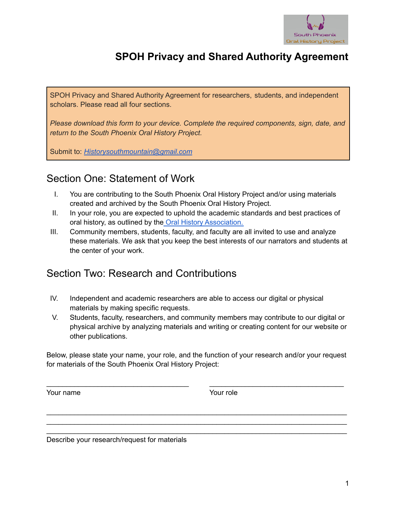

# **SPOH Privacy and Shared Authority Agreement**

SPOH Privacy and Shared Authority Agreement for researchers, students, and independent scholars. Please read all four sections.

*Please download this form to your device. Complete the required components, sign, date, and return to the South Phoenix Oral History Project.*

Submit to: *[Historysouthmountain@gmail.com](mailto:Historysouthmountain@gmail.com)*

### Section One: Statement of Work

- I. You are contributing to the South Phoenix Oral History Project and/or using materials created and archived by the South Phoenix Oral History Project.
- II. In your role, you are expected to uphold the academic standards and best practices of oral history, as outlined by the Oral History [Association.](https://www.oralhistory.org/best-practices/)
- III. Community members, students, faculty, and faculty are all invited to use and analyze these materials. We ask that you keep the best interests of our narrators and students at the center of your work.

#### Section Two: Research and Contributions

- IV. Independent and academic researchers are able to access our digital or physical materials by making specific requests.
- V. Students, faculty, researchers, and community members may contribute to our digital or physical archive by analyzing materials and writing or creating content for our website or other publications.

Below, please state your name, your role, and the function of your research and/or your request for materials of the South Phoenix Oral History Project:

\_\_\_\_\_\_\_\_\_\_\_\_\_\_\_\_\_\_\_\_\_\_\_\_\_\_\_\_\_\_\_\_\_\_\_\_ \_\_\_\_\_\_\_\_\_\_\_\_\_\_\_\_\_\_\_\_\_\_\_\_\_\_\_\_\_\_\_\_\_\_

\_\_\_\_\_\_\_\_\_\_\_\_\_\_\_\_\_\_\_\_\_\_\_\_\_\_\_\_\_\_\_\_\_\_\_\_\_\_\_\_\_\_\_\_\_\_\_\_\_\_\_\_\_\_\_\_\_\_\_\_\_\_\_\_\_\_\_\_\_\_\_\_\_\_\_\_ \_\_\_\_\_\_\_\_\_\_\_\_\_\_\_\_\_\_\_\_\_\_\_\_\_\_\_\_\_\_\_\_\_\_\_\_\_\_\_\_\_\_\_\_\_\_\_\_\_\_\_\_\_\_\_\_\_\_\_\_\_\_\_\_\_\_\_\_\_\_\_\_\_\_\_\_ \_\_\_\_\_\_\_\_\_\_\_\_\_\_\_\_\_\_\_\_\_\_\_\_\_\_\_\_\_\_\_\_\_\_\_\_\_\_\_\_\_\_\_\_\_\_\_\_\_\_\_\_\_\_\_\_\_\_\_\_\_\_\_\_\_\_\_\_\_\_\_\_\_\_\_\_

Your name Your role

Describe your research/request for materials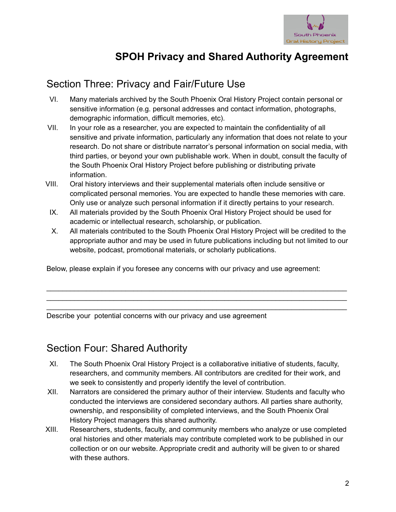

# **SPOH Privacy and Shared Authority Agreement**

## Section Three: Privacy and Fair/Future Use

- VI. Many materials archived by the South Phoenix Oral History Project contain personal or sensitive information (e.g. personal addresses and contact information, photographs, demographic information, difficult memories, etc).
- VII. In your role as a researcher, you are expected to maintain the confidentiality of all sensitive and private information, particularly any information that does not relate to your research. Do not share or distribute narrator's personal information on social media, with third parties, or beyond your own publishable work. When in doubt, consult the faculty of the South Phoenix Oral History Project before publishing or distributing private information.
- VIII. Oral history interviews and their supplemental materials often include sensitive or complicated personal memories. You are expected to handle these memories with care. Only use or analyze such personal information if it directly pertains to your research.
- IX. All materials provided by the South Phoenix Oral History Project should be used for academic or intellectual research, scholarship, or publication.
- X. All materials contributed to the South Phoenix Oral History Project will be credited to the appropriate author and may be used in future publications including but not limited to our website, podcast, promotional materials, or scholarly publications.

\_\_\_\_\_\_\_\_\_\_\_\_\_\_\_\_\_\_\_\_\_\_\_\_\_\_\_\_\_\_\_\_\_\_\_\_\_\_\_\_\_\_\_\_\_\_\_\_\_\_\_\_\_\_\_\_\_\_\_\_\_\_\_\_\_\_\_\_\_\_\_\_\_\_\_\_ \_\_\_\_\_\_\_\_\_\_\_\_\_\_\_\_\_\_\_\_\_\_\_\_\_\_\_\_\_\_\_\_\_\_\_\_\_\_\_\_\_\_\_\_\_\_\_\_\_\_\_\_\_\_\_\_\_\_\_\_\_\_\_\_\_\_\_\_\_\_\_\_\_\_\_\_ \_\_\_\_\_\_\_\_\_\_\_\_\_\_\_\_\_\_\_\_\_\_\_\_\_\_\_\_\_\_\_\_\_\_\_\_\_\_\_\_\_\_\_\_\_\_\_\_\_\_\_\_\_\_\_\_\_\_\_\_\_\_\_\_\_\_\_\_\_\_\_\_\_\_\_\_

Below, please explain if you foresee any concerns with our privacy and use agreement:

Describe your potential concerns with our privacy and use agreement

## Section Four: Shared Authority

- XI. The South Phoenix Oral History Project is a collaborative initiative of students, faculty, researchers, and community members. All contributors are credited for their work, and we seek to consistently and properly identify the level of contribution.
- XII. Narrators are considered the primary author of their interview. Students and faculty who conducted the interviews are considered secondary authors. All parties share authority, ownership, and responsibility of completed interviews, and the South Phoenix Oral History Project managers this shared authority.
- XIII. Researchers, students, faculty, and community members who analyze or use completed oral histories and other materials may contribute completed work to be published in our collection or on our website. Appropriate credit and authority will be given to or shared with these authors.